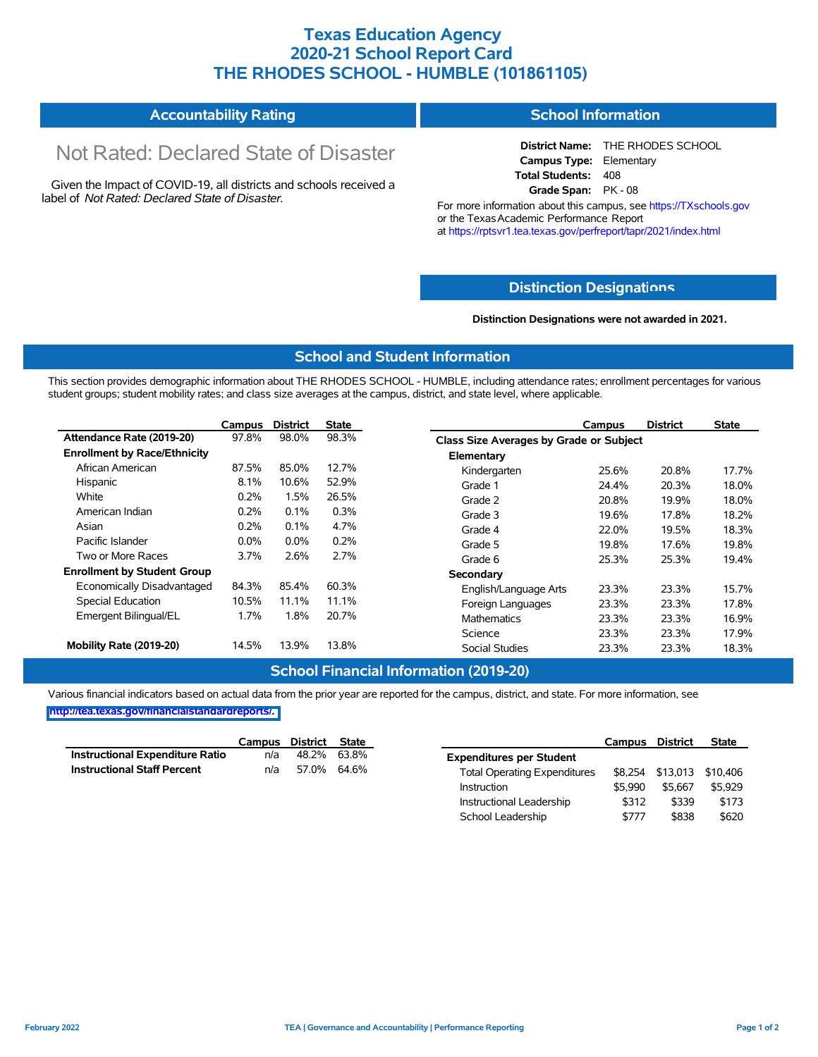## **Texas Education Agency 2020-21 School Report Card THE RHODES SCHOOL - HUMBLE (101861105)**

#### **Accountability Rating School Information**

# Not Rated: Declared State of Disaster

Given the Impact of COVID-19, all districts and schools received a label of *Not Rated: Declared State of Disaster.*

**District Name:** THE RHODES SCHOOL **Campus Type:** Elementary **Total Students:** 408 **Grade Span:** PK - 08

For more information about this campus, see https://TXschools.gov or the Texas Academic Performance Report at https://rptsvr1.tea.texas.gov/perfreport/tapr/2021/index.html

#### **Distinction Designat[ions](https://TXschools.gov)**

**Distinction Designations were not awarded in 2021.**

#### **School and Student Information**

This section provides demographic information about THE RHODES SCHOOL - HUMBLE, including attendance rates; enrollment percentages for various student groups; student mobility rates; and class size averages at the campus, district, and state level, where applicable.

|                                     | Campus  | <b>District</b> | <b>State</b> | <b>District</b><br><b>State</b><br>Campus        |
|-------------------------------------|---------|-----------------|--------------|--------------------------------------------------|
| Attendance Rate (2019-20)           | 97.8%   | 98.0%           | 98.3%        | Class Size Averages by Grade or Subject          |
| <b>Enrollment by Race/Ethnicity</b> |         |                 |              | Elementary                                       |
| African American                    | 87.5%   | 85.0%           | 12.7%        | 17.7%<br>Kindergarten<br>25.6%<br>20.8%          |
| Hispanic                            | 8.1%    | 10.6%           | 52.9%        | Grade 1<br>20.3%<br>18.0%<br>24.4%               |
| White                               | 0.2%    | l.5%            | 26.5%        | Grade 2<br>20.8%<br>19.9%<br>18.0%               |
| American Indian                     | 0.2%    | 0.1%            | 0.3%         | Grade 3<br>19.6%<br>17.8%<br>18.2%               |
| Asian                               | 0.2%    | 0.1%            | 4.7%         | 18.3%<br>Grade 4<br>22.0%<br>19.5%               |
| Pacific Islander                    | $0.0\%$ | $0.0\%$         | 0.2%         | Grade 5<br>19.8%<br>17.6%<br>19.8%               |
| Two or More Races                   | 3.7%    | 2.6%            | 2.7%         | 25.3%<br>19.4%<br>Grade 6<br>25.3%               |
| <b>Enrollment by Student Group</b>  |         |                 |              | Secondary                                        |
| Economically Disadvantaged          | 84.3%   | 85.4%           | 60.3%        | 15.7%<br>23.3%<br>23.3%<br>English/Language Arts |
| Special Education                   | 10.5%   | 11.1%           | 11.1%        | 23.3%<br>Foreign Languages<br>23.3%<br>17.8%     |
| Emergent Bilingual/EL               | 1.7%    | l.8%            | 20.7%        | 23.3%<br>23.3%<br>16.9%<br><b>Mathematics</b>    |
|                                     |         |                 |              | Science<br>23.3%<br>23.3%<br>17.9%               |
| Mobility Rate (2019-20)             | 14.5%   | 13.9%           | 13.8%        | <b>Social Studies</b><br>23.3%<br>23.3%<br>18.3% |

#### **School Financial Information (2019-20)**

Various financial indicators based on actual data from the prior year are reported for the campus, district, and state. For more information, see **[http://tea.texas.gov/financialstandardreports/.](http://tea.texas.gov/financialstandardreports/)**

|                                        | Campus District State |             |  |
|----------------------------------------|-----------------------|-------------|--|
| <b>Instructional Expenditure Ratio</b> | n/a                   | 48.2% 63.8% |  |
| <b>Instructional Staff Percent</b>     | n/a                   | 57.0% 64.6% |  |

|                                     | Campus  | District | <b>State</b> |
|-------------------------------------|---------|----------|--------------|
| <b>Expenditures per Student</b>     |         |          |              |
| <b>Total Operating Expenditures</b> | \$8.254 | \$13,013 | \$10.406     |
| Instruction                         | \$5.990 | \$5.667  | \$5.929      |
| Instructional Leadership            | \$312   | \$339    | \$173        |
| School Leadership                   | \$777   | \$838    | \$620        |